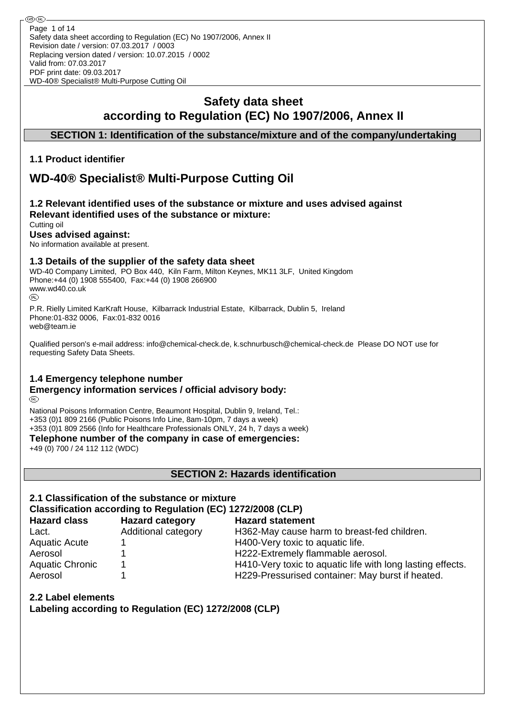# **Safety data sheet according to Regulation (EC) No 1907/2006, Annex II**

## **SECTION 1: Identification of the substance/mixture and of the company/undertaking**

### **1.1 Product identifier**

**®** (R)

# **WD-40® Specialist® Multi-Purpose Cutting Oil**

#### **1.2 Relevant identified uses of the substance or mixture and uses advised against Relevant identified uses of the substance or mixture:** Cutting oil

**Uses advised against:**

No information available at present.

#### **1.3 Details of the supplier of the safety data sheet**

WD-40 Company Limited, PO Box 440, Kiln Farm, Milton Keynes, MK11 3LF, United Kingdom Phone:+44 (0) 1908 555400, Fax:+44 (0) 1908 266900 www.wd40.co.uk

P.R. Rielly Limited KarKraft House, Kilbarrack Industrial Estate, Kilbarrack, Dublin 5, Ireland Phone:01-832 0006, Fax:01-832 0016 web@team.ie

Qualified person's e-mail address: info@chemical-check.de, k.schnurbusch@chemical-check.de Please DO NOT use for requesting Safety Data Sheets.

#### **1.4 Emergency telephone number**

#### **Emergency information services / official advisory body:** (RD)

National Poisons Information Centre, Beaumont Hospital, Dublin 9, Ireland, Tel.: +353 (0)1 809 2166 (Public Poisons Info Line, 8am-10pm, 7 days a week) +353 (0)1 809 2566 (Info for Healthcare Professionals ONLY, 24 h, 7 days a week)

**Telephone number of the company in case of emergencies:**

+49 (0) 700 / 24 112 112 (WDC)

**SECTION 2: Hazards identification**

#### **2.1 Classification of the substance or mixture Classification according to Regulation (EC) 1272/2008 (CLP)**

**Hazard class Hazard category Hazard statement** Lact. Additional category H362-May cause harm to breast-fed children.

Aerosol 1 1 1 H229-Pressurised container: May burst if heated.

Aquatic Acute 1 1 and 1 H400-Very toxic to aquatic life. Aerosol 1 1 1 H222-Extremely flammable aerosol. Aquatic Chronic 1 1 H410-Very toxic to aquatic life with long lasting effects.

**2.2 Label elements**

**Labeling according to Regulation (EC) 1272/2008 (CLP)**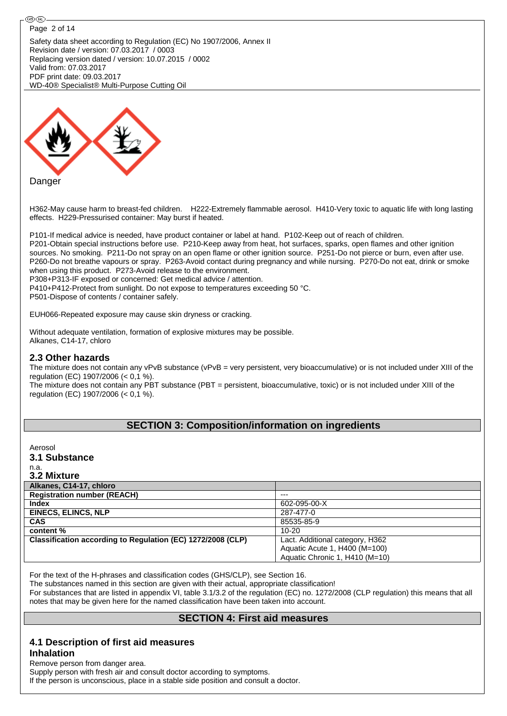#### ⊛®-Page 2 of 14

Safety data sheet according to Regulation (EC) No 1907/2006, Annex II Revision date / version: 07.03.2017 / 0003 Replacing version dated / version: 10.07.2015 / 0002 Valid from: 07.03.2017 PDF print date: 09.03.2017 WD-40® Specialist® Multi-Purpose Cutting Oil



H362-May cause harm to breast-fed children. H222-Extremely flammable aerosol. H410-Very toxic to aquatic life with long lasting effects. H229-Pressurised container: May burst if heated.

P101-If medical advice is needed, have product container or label at hand. P102-Keep out of reach of children. P201-Obtain special instructions before use. P210-Keep away from heat, hot surfaces, sparks, open flames and other ignition sources. No smoking. P211-Do not spray on an open flame or other ignition source. P251-Do not pierce or burn, even after use. P260-Do not breathe vapours or spray. P263-Avoid contact during pregnancy and while nursing. P270-Do not eat, drink or smoke when using this product. P273-Avoid release to the environment. P308+P313-IF exposed or concerned: Get medical advice / attention. P410+P412-Protect from sunlight. Do not expose to temperatures exceeding 50 °C.

P501-Dispose of contents / container safely.

EUH066-Repeated exposure may cause skin dryness or cracking.

Without adequate ventilation, formation of explosive mixtures may be possible. Alkanes, C14-17, chloro

#### **2.3 Other hazards**

The mixture does not contain any vPvB substance (vPvB = very persistent, very bioaccumulative) or is not included under XIII of the regulation (EC) 1907/2006 (< 0,1 %).

The mixture does not contain any PBT substance (PBT = persistent, bioaccumulative, toxic) or is not included under XIII of the regulation (EC) 1907/2006 (< 0,1 %).

#### **SECTION 3: Composition/information on ingredients**

Aerosol **3.1 Substance**

n.a.

| 3.2 Mixture                                                 |                                 |
|-------------------------------------------------------------|---------------------------------|
| Alkanes, C14-17, chloro                                     |                                 |
| <b>Registration number (REACH)</b>                          | $---$                           |
| Index                                                       | 602-095-00-X                    |
| <b>EINECS, ELINCS, NLP</b>                                  | 287-477-0                       |
| <b>CAS</b>                                                  | 85535-85-9                      |
| content %                                                   | $10 - 20$                       |
| Classification according to Regulation (EC) 1272/2008 (CLP) | Lact. Additional category, H362 |
|                                                             | Aquatic Acute 1, H400 (M=100)   |
|                                                             | Aquatic Chronic 1, H410 (M=10)  |

For the text of the H-phrases and classification codes (GHS/CLP), see Section 16.

The substances named in this section are given with their actual, appropriate classification!

For substances that are listed in appendix VI, table 3.1/3.2 of the regulation (EC) no. 1272/2008 (CLP regulation) this means that all notes that may be given here for the named classification have been taken into account.

#### **SECTION 4: First aid measures**

#### **4.1 Description of first aid measures**

#### **Inhalation**

Remove person from danger area.

Supply person with fresh air and consult doctor according to symptoms.

If the person is unconscious, place in a stable side position and consult a doctor.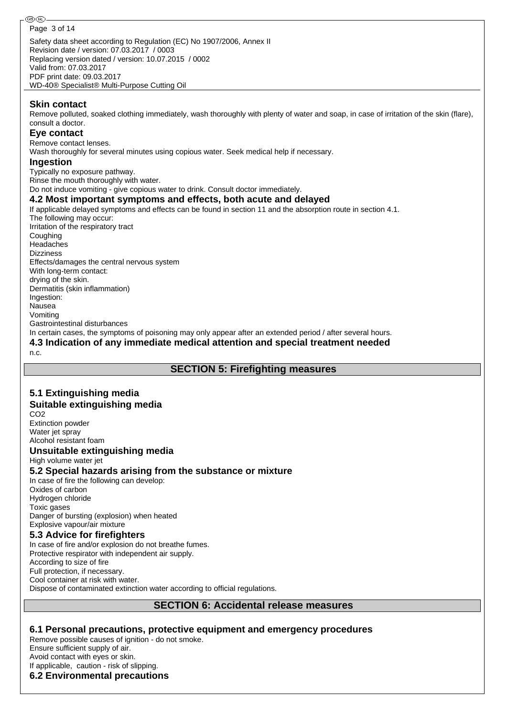**Skin contact**

Remove polluted, soaked clothing immediately, wash thoroughly with plenty of water and soap, in case of irritation of the skin (flare), consult a doctor.

#### **Eye contact**

Remove contact lenses.

Wash thoroughly for several minutes using copious water. Seek medical help if necessary.

#### **Ingestion**

Typically no exposure pathway.

Rinse the mouth thoroughly with water.

WD-40® Specialist® Multi-Purpose Cutting Oil

Do not induce vomiting - give copious water to drink. Consult doctor immediately.

#### **4.2 Most important symptoms and effects, both acute and delayed**

If applicable delayed symptoms and effects can be found in section 11 and the absorption route in section 4.1. The following may occur: Irritation of the respiratory tract Coughing Headaches Dizziness Effects/damages the central nervous system With long-term contact: drying of the skin. Dermatitis (skin inflammation) Ingestion: Nausea Vomiting Gastrointestinal disturbances In certain cases, the symptoms of poisoning may only appear after an extended period / after several hours. **4.3 Indication of any immediate medical attention and special treatment needed**

n.c.

## **SECTION 5: Firefighting measures**

## **5.1 Extinguishing media**

#### **Suitable extinguishing media**

CO2 Extinction powder Water jet spray Alcohol resistant foam

#### **Unsuitable extinguishing media**

High volume water jet

#### **5.2 Special hazards arising from the substance or mixture**

In case of fire the following can develop: Oxides of carbon Hydrogen chloride Toxic gases Danger of bursting (explosion) when heated Explosive vapour/air mixture

#### **5.3 Advice for firefighters**

In case of fire and/or explosion do not breathe fumes. Protective respirator with independent air supply. According to size of fire Full protection, if necessary. Cool container at risk with water. Dispose of contaminated extinction water according to official regulations.

#### **SECTION 6: Accidental release measures**

#### **6.1 Personal precautions, protective equipment and emergency procedures**

Remove possible causes of ignition - do not smoke. Ensure sufficient supply of air. Avoid contact with eyes or skin. If applicable, caution - risk of slipping.

# **6.2 Environmental precautions**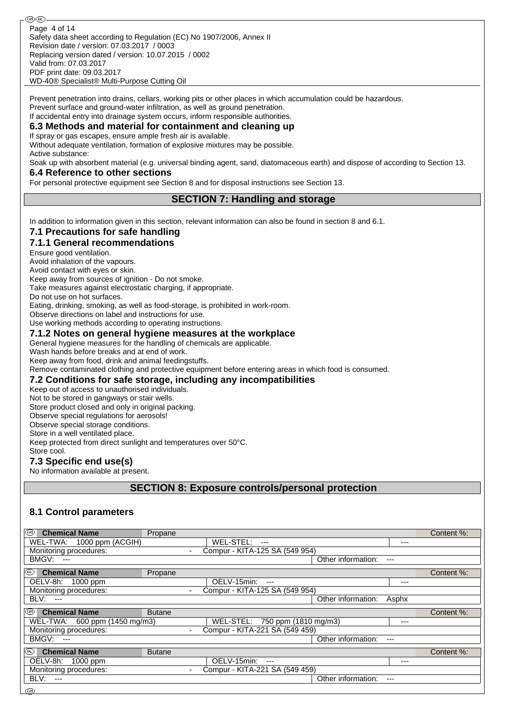Safety data sheet according to Regulation (EC) No 1907/2006, Annex II Revision date / version: 07.03.2017 / 0003 Replacing version dated / version: 10.07.2015 / 0002 Valid from: 07.03.2017 PDF print date: 09.03.2017 WD-40® Specialist® Multi-Purpose Cutting Oil Page 4 of 14

Prevent penetration into drains, cellars, working pits or other places in which accumulation could be hazardous. Prevent surface and ground-water infiltration, as well as ground penetration.

#### If accidental entry into drainage system occurs, inform responsible authorities. **6.3 Methods and material for containment and cleaning up**

If spray or gas escapes, ensure ample fresh air is available.

Without adequate ventilation, formation of explosive mixtures may be possible. Active substance:

Soak up with absorbent material (e.g. universal binding agent, sand, diatomaceous earth) and dispose of according to Section 13.

#### **6.4 Reference to other sections**

For personal protective equipment see Section 8 and for disposal instructions see Section 13.

#### **SECTION 7: Handling and storage**

In addition to information given in this section, relevant information can also be found in section 8 and 6.1.

#### **7.1 Precautions for safe handling**

#### **7.1.1 General recommendations**

Ensure good ventilation.

Avoid inhalation of the vapours.

Avoid contact with eyes or skin.

Keep away from sources of ignition - Do not smoke.

Take measures against electrostatic charging, if appropriate.

Do not use on hot surfaces.

Eating, drinking, smoking, as well as food-storage, is prohibited in work-room.

Observe directions on label and instructions for use.

Use working methods according to operating instructions.

#### **7.1.2 Notes on general hygiene measures at the workplace**

General hygiene measures for the handling of chemicals are applicable.

Wash hands before breaks and at end of work.

Keep away from food, drink and animal feedingstuffs.

Remove contaminated clothing and protective equipment before entering areas in which food is consumed.

#### **7.2 Conditions for safe storage, including any incompatibilities**

Keep out of access to unauthorised individuals.

Not to be stored in gangways or stair wells.

Store product closed and only in original packing.

Observe special regulations for aerosols!

Observe special storage conditions.

Store in a well ventilated place.

Keep protected from direct sunlight and temperatures over 50°C.

## Store cool.

**7.3 Specific end use(s)**

No information available at present.

**SECTION 8: Exposure controls/personal protection**

#### **8.1 Control parameters**

| ⊛<br><b>Chemical Name</b>     | Propane                  |                                |                    |       | Content %: |
|-------------------------------|--------------------------|--------------------------------|--------------------|-------|------------|
| WEL-TWA: 1000 ppm (ACGIH)     |                          | WEL-STEL: ---                  |                    | ---   |            |
| Monitoring procedures:        |                          | Compur - KITA-125 SA (549 954) |                    |       |            |
| BMGV:<br>$---$                |                          |                                | Other information: | $---$ |            |
| (®<br><b>Chemical Name</b>    | Propane                  |                                |                    |       | Content %: |
| OELV-8h: 1000 ppm             |                          | OELV-15min:<br>$---$           |                    | $---$ |            |
| Monitoring procedures:        |                          | Compur - KITA-125 SA (549 954) |                    |       |            |
| BLV: ---                      |                          |                                | Other information: | Asphx |            |
| 0<br><b>Chemical Name</b>     | <b>Butane</b>            |                                |                    |       | Content %: |
| WEL-TWA: 600 ppm (1450 mg/m3) |                          | WEL-STEL: 750 ppm (1810 mg/m3) |                    | ---   |            |
| Monitoring procedures:        |                          | Compur - KITA-221 SA (549 459) |                    |       |            |
| BMGV:<br>$---$                |                          |                                | Other information: | ---   |            |
| ⑩<br><b>Chemical Name</b>     | <b>Butane</b>            |                                |                    |       | Content %: |
| OELV-8h: 1000 ppm             |                          | OELV-15min:<br>$---$           |                    | ---   |            |
| Monitoring procedures:        | $\overline{\phantom{a}}$ | Compur - KITA-221 SA (549 459) |                    |       |            |
| BLV:<br>$---$                 |                          |                                | Other information: | $---$ |            |
| അ                             |                          |                                |                    |       |            |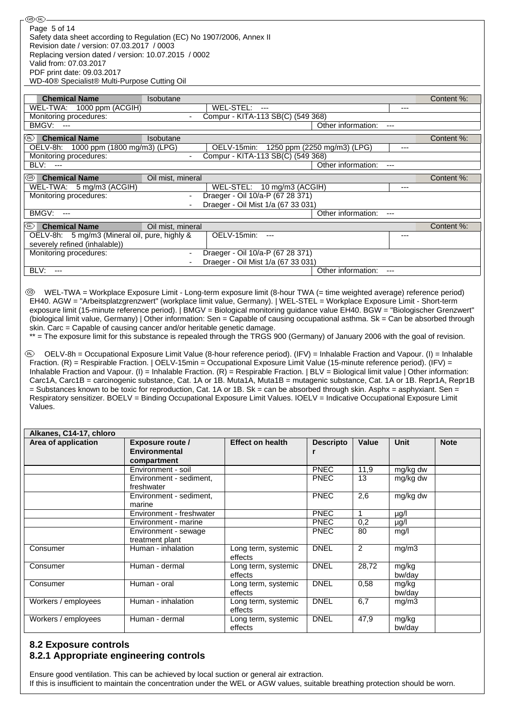| ை (iR)                                                                                                                                                                                                                                                                                                                      |                          |                                    |                             |       |            |
|-----------------------------------------------------------------------------------------------------------------------------------------------------------------------------------------------------------------------------------------------------------------------------------------------------------------------------|--------------------------|------------------------------------|-----------------------------|-------|------------|
| Page 5 of 14<br>Safety data sheet according to Regulation (EC) No 1907/2006, Annex II<br>Revision date / version: 07.03.2017 / 0003<br>Replacing version dated / version: 10.07.2015 / 0002<br>Valid from: 07.03.2017<br>PDF print date: 09.03.2017<br>WD-40 <sup>®</sup> Specialist <sup>®</sup> Multi-Purpose Cutting Oil |                          |                                    |                             |       |            |
| <b>Chemical Name</b>                                                                                                                                                                                                                                                                                                        | Isobutane                |                                    |                             |       | Content %: |
|                                                                                                                                                                                                                                                                                                                             |                          | WEL-STEL:                          |                             |       |            |
| WEL-TWA: 1000 ppm (ACGIH)                                                                                                                                                                                                                                                                                                   |                          | $\overline{a}$                     |                             | ---   |            |
| Monitoring procedures:<br>BMGV:<br>$---$                                                                                                                                                                                                                                                                                    |                          | Compur - KITA-113 SB(C) (549 368)  | Other information:          | ---   |            |
|                                                                                                                                                                                                                                                                                                                             |                          |                                    |                             |       |            |
| <b>Chemical Name</b><br>(UN)                                                                                                                                                                                                                                                                                                | Isobutane                |                                    |                             |       | Content %: |
| OELV-8h:<br>1000 ppm (1800 mg/m3) (LPG)                                                                                                                                                                                                                                                                                     |                          | OELV-15min:                        | 1250 ppm (2250 mg/m3) (LPG) | ---   |            |
| Monitoring procedures:                                                                                                                                                                                                                                                                                                      |                          | Compur - KITA-113 SB(C) (549 368)  |                             |       |            |
| BLV: ---                                                                                                                                                                                                                                                                                                                    |                          |                                    | Other information:          | ---   |            |
| I®<br><b>Chemical Name</b>                                                                                                                                                                                                                                                                                                  | Oil mist, mineral        |                                    |                             |       | Content %: |
| WEL-TWA: 5 mg/m3 (ACGIH)                                                                                                                                                                                                                                                                                                    |                          | WEL-STEL: 10 mg/m3 (ACGIH)         |                             | ---   |            |
| Monitoring procedures:                                                                                                                                                                                                                                                                                                      | $\overline{\phantom{a}}$ | Draeger - Oil 10/a-P (67 28 371)   |                             |       |            |
|                                                                                                                                                                                                                                                                                                                             |                          | Draeger - Oil Mist 1/a (67 33 031) |                             |       |            |
| BMGV:<br>$---$                                                                                                                                                                                                                                                                                                              |                          |                                    | Other information:          | $---$ |            |
|                                                                                                                                                                                                                                                                                                                             |                          |                                    |                             |       |            |
| <b>Chemical Name</b><br>(R)                                                                                                                                                                                                                                                                                                 | Oil mist, mineral        |                                    |                             |       | Content %: |
| OELV-8h: 5 mg/m3 (Mineral oil, pure, highly &                                                                                                                                                                                                                                                                               |                          | OELV-15min: ---                    |                             | ---   |            |
| severely refined (inhalable))                                                                                                                                                                                                                                                                                               |                          |                                    |                             |       |            |
| Monitoring procedures:                                                                                                                                                                                                                                                                                                      | $\blacksquare$           | Draeger - Oil 10/a-P (67 28 371)   |                             |       |            |
|                                                                                                                                                                                                                                                                                                                             |                          | Draeger - Oil Mist 1/a (67 33 031) |                             |       |            |
| BLV:<br>$---$                                                                                                                                                                                                                                                                                                               |                          |                                    | Other information:          | ---   |            |

 WEL-TWA = Workplace Exposure Limit - Long-term exposure limit (8-hour TWA (= time weighted average) reference period) EH40. AGW = "Arbeitsplatzgrenzwert" (workplace limit value, Germany). | WEL-STEL = Workplace Exposure Limit - Short-term exposure limit (15-minute reference period). | BMGV = Biological monitoring guidance value EH40. BGW = "Biologischer Grenzwert" (biological limit value, Germany) | Other information: Sen = Capable of causing occupational asthma. Sk = Can be absorbed through skin. Carc = Capable of causing cancer and/or heritable genetic damage.

\*\* = The exposure limit for this substance is repealed through the TRGS 900 (Germany) of January 2006 with the goal of revision.

 OELV-8h = Occupational Exposure Limit Value (8-hour reference period). (IFV) = Inhalable Fraction and Vapour. (I) = Inhalable Fraction. (R) = Respirable Fraction. | OELV-15min = Occupational Exposure Limit Value (15-minute reference period). (IFV) = Inhalable Fraction and Vapour. (I) = Inhalable Fraction. (R) = Respirable Fraction. | BLV = Biological limit value | Other information: Carc1A, Carc1B = carcinogenic substance, Cat. 1A or 1B. Muta1A, Muta1B = mutagenic substance, Cat. 1A or 1B. Repr1A, Repr1B  $=$  Substances known to be toxic for reproduction, Cat. 1A or 1B. Sk = can be absorbed through skin. Asphx = asphyxiant. Sen = Respiratory sensitizer. BOELV = Binding Occupational Exposure Limit Values. IOELV = Indicative Occupational Exposure Limit Values.

| Alkanes, C14-17, chloro |                                       |                                |                  |       |             |             |
|-------------------------|---------------------------------------|--------------------------------|------------------|-------|-------------|-------------|
| Area of application     | <b>Exposure route /</b>               | <b>Effect on health</b>        | <b>Descripto</b> | Value | <b>Unit</b> | <b>Note</b> |
|                         | <b>Environmental</b>                  |                                |                  |       |             |             |
|                         | compartment                           |                                |                  |       |             |             |
|                         | Environment - soil                    |                                | <b>PNEC</b>      | 11,9  | mg/kg dw    |             |
|                         | Environment - sediment,<br>freshwater |                                | <b>PNEC</b>      | 13    | mg/kg dw    |             |
|                         | Environment - sediment,<br>marine     |                                | <b>PNEC</b>      | 2,6   | mg/kg dw    |             |
|                         | Environment - freshwater              |                                | <b>PNEC</b>      |       | µg/l        |             |
|                         | Environment - marine                  |                                | <b>PNEC</b>      | 0,2   | µg/l        |             |
|                         | Environment - sewage                  |                                | <b>PNEC</b>      | 80    | mq/l        |             |
|                         | treatment plant                       |                                |                  |       |             |             |
| Consumer                | Human - inhalation                    | Long term, systemic<br>effects | <b>DNEL</b>      | 2     | mg/m3       |             |
| Consumer                | Human - dermal                        | Long term, systemic            | <b>DNEL</b>      | 28,72 | mg/kg       |             |
|                         |                                       | effects                        |                  |       | bw/day      |             |
| Consumer                | Human - oral                          | Long term, systemic            | <b>DNEL</b>      | 0,58  | mg/kg       |             |
|                         |                                       | effects                        |                  |       | bw/day      |             |
| Workers / employees     | Human - inhalation                    | Long term, systemic<br>effects | <b>DNEL</b>      | 6,7   | mg/m3       |             |
| Workers / employees     | Human - dermal                        | Long term, systemic            | <b>DNEL</b>      | 47,9  | mg/kg       |             |
|                         |                                       | effects                        |                  |       | bw/day      |             |

## **8.2 Exposure controls 8.2.1 Appropriate engineering controls**

Ensure good ventilation. This can be achieved by local suction or general air extraction. If this is insufficient to maintain the concentration under the WEL or AGW values, suitable breathing protection should be worn.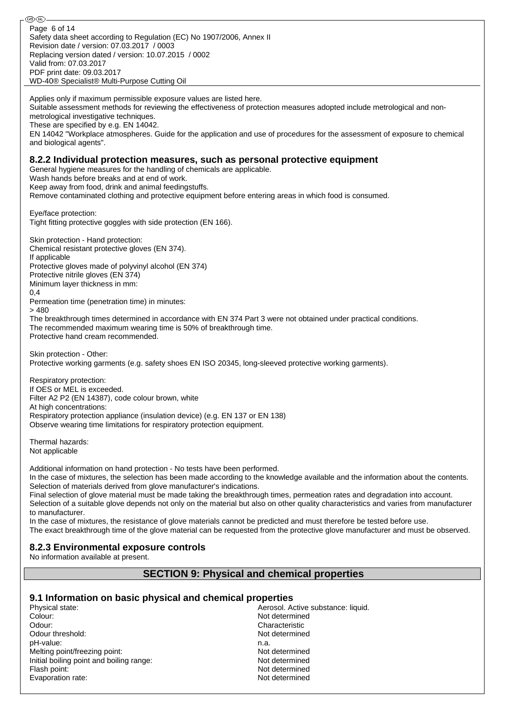Safety data sheet according to Regulation (EC) No 1907/2006, Annex II Revision date / version: 07.03.2017 / 0003 Replacing version dated / version: 10.07.2015 / 0002 Valid from: 07.03.2017 PDF print date: 09.03.2017 WD-40® Specialist® Multi-Purpose Cutting Oil Page 6 of 14

Applies only if maximum permissible exposure values are listed here.

metrological investigative techniques.

⊛®

These are specified by e.g. EN 14042. EN 14042 "Workplace atmospheres. Guide for the application and use of procedures for the assessment of exposure to chemical and biological agents". **8.2.2 Individual protection measures, such as personal protective equipment** General hygiene measures for the handling of chemicals are applicable. Wash hands before breaks and at end of work. Keep away from food, drink and animal feedingstuffs. Remove contaminated clothing and protective equipment before entering areas in which food is consumed. Eye/face protection: Tight fitting protective goggles with side protection (EN 166). Skin protection - Hand protection: Chemical resistant protective gloves (EN 374). If applicable Protective gloves made of polyvinyl alcohol (EN 374) Protective nitrile gloves (EN 374) Minimum layer thickness in mm: 0,4 Permeation time (penetration time) in minutes: > 480 The breakthrough times determined in accordance with EN 374 Part 3 were not obtained under practical conditions. The recommended maximum wearing time is 50% of breakthrough time. Protective hand cream recommended. Skin protection - Other: Protective working garments (e.g. safety shoes EN ISO 20345, long-sleeved protective working garments). Respiratory protection: If OES or MEL is exceeded. Filter A2 P2 (EN 14387), code colour brown, white At high concentrations: Respiratory protection appliance (insulation device) (e.g. EN 137 or EN 138) Observe wearing time limitations for respiratory protection equipment.

Suitable assessment methods for reviewing the effectiveness of protection measures adopted include metrological and non-

Thermal hazards: Not applicable

Additional information on hand protection - No tests have been performed.

In the case of mixtures, the selection has been made according to the knowledge available and the information about the contents. Selection of materials derived from glove manufacturer's indications.

Final selection of glove material must be made taking the breakthrough times, permeation rates and degradation into account. Selection of a suitable glove depends not only on the material but also on other quality characteristics and varies from manufacturer to manufacturer.

In the case of mixtures, the resistance of glove materials cannot be predicted and must therefore be tested before use. The exact breakthrough time of the glove material can be requested from the protective glove manufacturer and must be observed.

#### **8.2.3 Environmental exposure controls**

No information available at present.

#### **SECTION 9: Physical and chemical properties**

#### **9.1 Information on basic physical and chemical properties**

Physical state:  $\blacksquare$  Aerosol. Active substance: liquid. Colour: Not determined Odour: Characteristic Odour threshold: Not determined pH-value: n.a. Melting point/freezing point: Not determined Initial boiling point and boiling range: Not determined Flash point: Not determined Evaporation rate: Not determined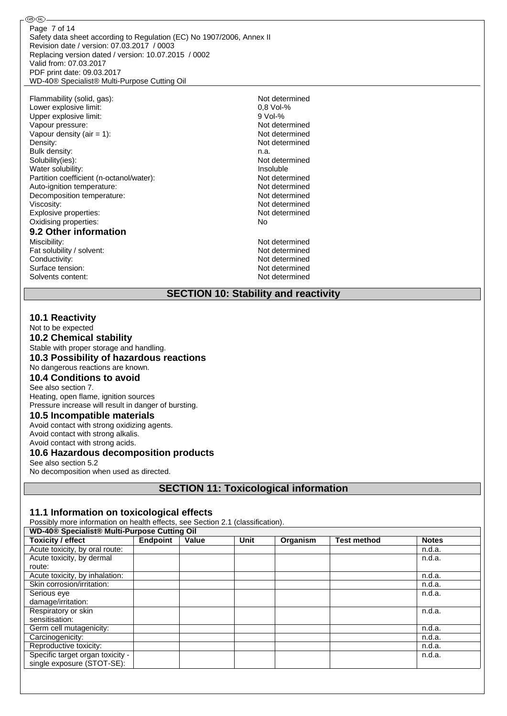Safety data sheet according to Regulation (EC) No 1907/2006, Annex II Revision date / version: 07.03.2017 / 0003 Replacing version dated / version: 10.07.2015 / 0002 Valid from: 07.03.2017 PDF print date: 09.03.2017 WD-40® Specialist® Multi-Purpose Cutting Oil Page 7 of 14

Flammability (solid, gas):<br>
Lower explosive limit:<br>
0,8 Vol-%<br>
0,8 Vol-% Lower explosive limit: Upper explosive limit:  $\begin{array}{ccc} 9 \text{ Vol-}\% \\ \text{Vapour pressure.} \end{array}$ Vapour pressure: Vapour density (air = 1): Not determined Density: Not determined Bulk density: n.a. Solubility(ies): Not determined Water solubility:<br>
Partition coefficient (n-octanol/water):<br>
Partition coefficient (n-octanol/water):<br>
Partition coefficient (n-octanol/water): Partition coefficient (n-octanol/water):<br>Auto-ignition temperature: Not determined<br>Not determined Auto-ignition temperature: Decomposition temperature: Not determined Viscosity:<br>
Fxplosive properties:<br>
Fxplosive properties:<br>
Not determined Explosive properties: Oxidising properties: No

௵

#### **9.2 Other information**

Miscibility: Not determined Fat solubility / solvent: Not determined Conductivity:<br>
Surface tension:<br>
Not determined<br>
Not determined Surface tension: Not determined<br>Solvents content: Not determined<br>Not determined Solvents content:

#### **SECTION 10: Stability and reactivity**

#### **10.1 Reactivity**

Not to be expected

**10.2 Chemical stability**

Stable with proper storage and handling.

**10.3 Possibility of hazardous reactions**

No dangerous reactions are known. **10.4 Conditions to avoid**

See also section 7.

Heating, open flame, ignition sources Pressure increase will result in danger of bursting.

#### **10.5 Incompatible materials**

Avoid contact with strong oxidizing agents. Avoid contact with strong alkalis. Avoid contact with strong acids.

#### **10.6 Hazardous decomposition products**

See also section 5.2

No decomposition when used as directed.

## **SECTION 11: Toxicological information**

#### **11.1 Information on toxicological effects**

Possibly more information on health effects, see Section 2.1 (classification).

|                                  | WD-40® Specialist® Multi-Purpose Cutting Oil |       |      |          |                    |              |  |
|----------------------------------|----------------------------------------------|-------|------|----------|--------------------|--------------|--|
| <b>Toxicity / effect</b>         | Endpoint                                     | Value | Unit | Organism | <b>Test method</b> | <b>Notes</b> |  |
| Acute toxicity, by oral route:   |                                              |       |      |          |                    | n.d.a.       |  |
| Acute toxicity, by dermal        |                                              |       |      |          |                    | n.d.a.       |  |
| route:                           |                                              |       |      |          |                    |              |  |
| Acute toxicity, by inhalation:   |                                              |       |      |          |                    | n.d.a.       |  |
| Skin corrosion/irritation:       |                                              |       |      |          |                    | n.d.a.       |  |
| Serious eye                      |                                              |       |      |          |                    | n.d.a.       |  |
| damage/irritation:               |                                              |       |      |          |                    |              |  |
| Respiratory or skin              |                                              |       |      |          |                    | n.d.a.       |  |
| sensitisation:                   |                                              |       |      |          |                    |              |  |
| Germ cell mutagenicity:          |                                              |       |      |          |                    | n.d.a.       |  |
| Carcinogenicity:                 |                                              |       |      |          |                    | n.d.a.       |  |
| Reproductive toxicity:           |                                              |       |      |          |                    | n.d.a.       |  |
| Specific target organ toxicity - |                                              |       |      |          |                    | n.d.a.       |  |
| single exposure (STOT-SE):       |                                              |       |      |          |                    |              |  |
|                                  |                                              |       |      |          |                    |              |  |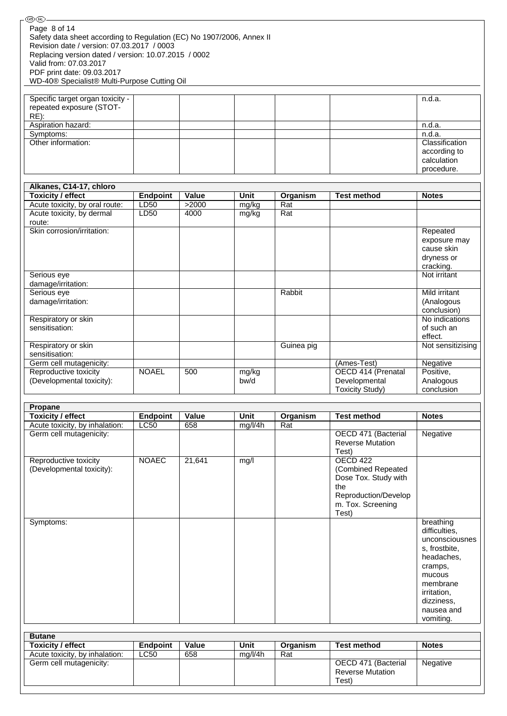| ௵                                                                                                  |                 |        |             |            |                                            |                            |
|----------------------------------------------------------------------------------------------------|-----------------|--------|-------------|------------|--------------------------------------------|----------------------------|
| Page 8 of 14<br>Safety data sheet according to Regulation (EC) No 1907/2006, Annex II              |                 |        |             |            |                                            |                            |
| Revision date / version: 07.03.2017 / 0003<br>Replacing version dated / version: 10.07.2015 / 0002 |                 |        |             |            |                                            |                            |
| Valid from: 07.03.2017                                                                             |                 |        |             |            |                                            |                            |
| PDF print date: 09.03.2017                                                                         |                 |        |             |            |                                            |                            |
| WD-40® Specialist® Multi-Purpose Cutting Oil                                                       |                 |        |             |            |                                            |                            |
| Specific target organ toxicity -                                                                   |                 |        |             |            |                                            | n.d.a.                     |
| repeated exposure (STOT-                                                                           |                 |        |             |            |                                            |                            |
| $RE)$ :                                                                                            |                 |        |             |            |                                            |                            |
| Aspiration hazard:                                                                                 |                 |        |             |            |                                            | n.d.a.                     |
| Symptoms:                                                                                          |                 |        |             |            |                                            | n.d.a.                     |
| Other information:                                                                                 |                 |        |             |            |                                            | Classification             |
|                                                                                                    |                 |        |             |            |                                            | according to               |
|                                                                                                    |                 |        |             |            |                                            | calculation                |
|                                                                                                    |                 |        |             |            |                                            | procedure.                 |
| Alkanes, C14-17, chloro                                                                            |                 |        |             |            |                                            |                            |
| <b>Toxicity / effect</b>                                                                           | <b>Endpoint</b> | Value  | <b>Unit</b> | Organism   | <b>Test method</b>                         | <b>Notes</b>               |
| Acute toxicity, by oral route:                                                                     | LD50            | >2000  | mg/kg       | Rat        |                                            |                            |
| Acute toxicity, by dermal                                                                          | LD50            | 4000   | mg/kg       | Rat        |                                            |                            |
| route:                                                                                             |                 |        |             |            |                                            |                            |
| Skin corrosion/irritation:                                                                         |                 |        |             |            |                                            | Repeated                   |
|                                                                                                    |                 |        |             |            |                                            | exposure may<br>cause skin |
|                                                                                                    |                 |        |             |            |                                            | dryness or                 |
|                                                                                                    |                 |        |             |            |                                            | cracking.                  |
| Serious eye                                                                                        |                 |        |             |            |                                            | Not irritant               |
| damage/irritation:                                                                                 |                 |        |             |            |                                            |                            |
| Serious eye                                                                                        |                 |        |             | Rabbit     |                                            | Mild irritant              |
| damage/irritation:                                                                                 |                 |        |             |            |                                            | (Analogous                 |
|                                                                                                    |                 |        |             |            |                                            | conclusion)                |
| Respiratory or skin<br>sensitisation:                                                              |                 |        |             |            |                                            | No indications             |
|                                                                                                    |                 |        |             |            |                                            | of such an<br>effect.      |
| Respiratory or skin                                                                                |                 |        |             | Guinea pig |                                            | Not sensitizising          |
| sensitisation:                                                                                     |                 |        |             |            |                                            |                            |
| Germ cell mutagenicity:                                                                            |                 |        |             |            | (Ames-Test)                                | Negative                   |
| Reproductive toxicity                                                                              | <b>NOAEL</b>    | 500    | mg/kg       |            | OECD 414 (Prenatal                         | Positive,                  |
| (Developmental toxicity):                                                                          |                 |        | bw/d        |            | Developmental                              | Analogous                  |
|                                                                                                    |                 |        |             |            | <b>Toxicity Study)</b>                     | conclusion                 |
| <b>Propane</b>                                                                                     |                 |        |             |            |                                            |                            |
| <b>Toxicity / effect</b>                                                                           | <b>Endpoint</b> | Value  | Unit        | Organism   | <b>Test method</b>                         | <b>Notes</b>               |
| Acute toxicity, by inhalation:                                                                     | LC50            | 658    | mg/l/4h     | Rat        |                                            |                            |
| Germ cell mutagenicity:                                                                            |                 |        |             |            | OECD 471 (Bacterial                        | <b>Negative</b>            |
|                                                                                                    |                 |        |             |            | <b>Reverse Mutation</b>                    |                            |
|                                                                                                    |                 |        |             |            | Test)                                      |                            |
| Reproductive toxicity                                                                              | <b>NOAEC</b>    | 21,641 | mg/l        |            | <b>OECD 422</b>                            |                            |
| (Developmental toxicity):                                                                          |                 |        |             |            | (Combined Repeated<br>Dose Tox. Study with |                            |
|                                                                                                    |                 |        |             |            | the                                        |                            |
|                                                                                                    |                 |        |             |            | Reproduction/Develop                       |                            |
|                                                                                                    |                 |        |             |            | m. Tox. Screening                          |                            |
|                                                                                                    |                 |        |             |            | Test)                                      |                            |
| Symptoms:                                                                                          |                 |        |             |            |                                            | breathing                  |
|                                                                                                    |                 |        |             |            |                                            | difficulties,              |
|                                                                                                    |                 |        |             |            |                                            | unconsciousnes             |
|                                                                                                    |                 |        |             |            |                                            | s, frostbite,              |
|                                                                                                    |                 |        |             |            |                                            | headaches,                 |
|                                                                                                    |                 |        |             |            |                                            | cramps,<br>mucous          |
|                                                                                                    |                 |        |             |            |                                            | membrane                   |
|                                                                                                    |                 |        |             |            |                                            | irritation,                |
|                                                                                                    |                 |        |             |            |                                            | dizziness,                 |

| <b>Butane</b>                  |                 |       |         |          |                         |              |
|--------------------------------|-----------------|-------|---------|----------|-------------------------|--------------|
| <b>Toxicity / effect</b>       | <b>Endpoint</b> | Value | Unit    | Organism | <b>Test method</b>      | <b>Notes</b> |
| Acute toxicity, by inhalation: | <b>LC50</b>     | 658   | mg/l/4h | Rat      |                         |              |
| Germ cell mutagenicity:        |                 |       |         |          | OECD 471 (Bacterial     | Negative     |
|                                |                 |       |         |          | <b>Reverse Mutation</b> |              |
|                                |                 |       |         |          | Test)                   |              |

nausea and vomiting.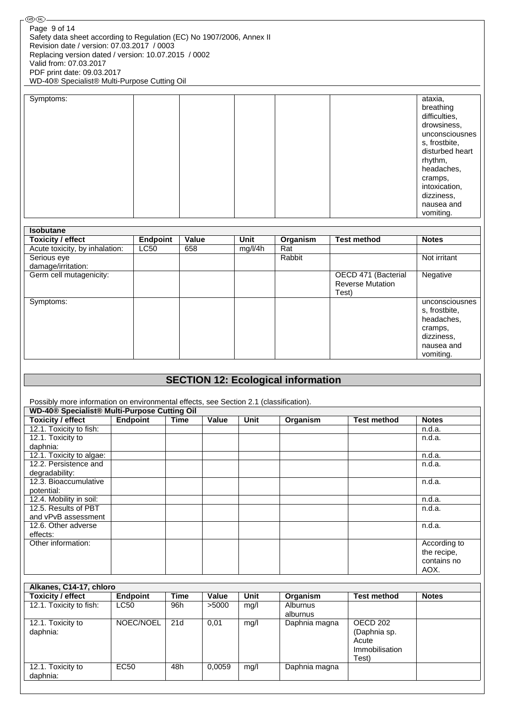| Symptoms: |  | ataxia,<br>breathing<br>difficulties,<br>drowsiness,<br>unconsciousnes<br>s, frostbite,<br>disturbed heart<br>rhythm,<br>headaches,<br>cramps,<br>intoxication, |
|-----------|--|-----------------------------------------------------------------------------------------------------------------------------------------------------------------|
|           |  | dizziness,                                                                                                                                                      |
|           |  | nausea and<br>vomiting.                                                                                                                                         |
|           |  |                                                                                                                                                                 |

| <b>Isobutane</b>               |                 |       |             |          |                         |                |
|--------------------------------|-----------------|-------|-------------|----------|-------------------------|----------------|
| <b>Toxicity / effect</b>       | <b>Endpoint</b> | Value | <b>Unit</b> | Organism | <b>Test method</b>      | <b>Notes</b>   |
| Acute toxicity, by inhalation: | <b>LC50</b>     | 658   | mg/l/4h     | Rat      |                         |                |
| Serious eye                    |                 |       |             | Rabbit   |                         | Not irritant   |
| damage/irritation:             |                 |       |             |          |                         |                |
| Germ cell mutagenicity:        |                 |       |             |          | OECD 471 (Bacterial     | Negative       |
|                                |                 |       |             |          | <b>Reverse Mutation</b> |                |
|                                |                 |       |             |          | Test)                   |                |
| Symptoms:                      |                 |       |             |          |                         | unconsciousnes |
|                                |                 |       |             |          |                         | s, frostbite,  |
|                                |                 |       |             |          |                         | headaches,     |
|                                |                 |       |             |          |                         | cramps,        |
|                                |                 |       |             |          |                         | dizziness,     |
|                                |                 |       |             |          |                         | nausea and     |
|                                |                 |       |             |          |                         | vomiting.      |

## **SECTION 12: Ecological information**

Possibly more information on environmental effects, see Section 2.1 (classification).

| WD-40 <sup>®</sup> Specialist <sup>®</sup> Multi-Purpose Cutting Oil |                 |      |       |             |          |                    |              |
|----------------------------------------------------------------------|-----------------|------|-------|-------------|----------|--------------------|--------------|
| Toxicity / effect                                                    | <b>Endpoint</b> | Time | Value | <b>Unit</b> | Organism | <b>Test method</b> | <b>Notes</b> |
| 12.1. Toxicity to fish:                                              |                 |      |       |             |          |                    | n.d.a.       |
| 12.1. Toxicity to                                                    |                 |      |       |             |          |                    | n.d.a.       |
| daphnia:                                                             |                 |      |       |             |          |                    |              |
| 12.1. Toxicity to algae:                                             |                 |      |       |             |          |                    | n.d.a.       |
| 12.2. Persistence and                                                |                 |      |       |             |          |                    | n.d.a.       |
| degradability:                                                       |                 |      |       |             |          |                    |              |
| 12.3. Bioaccumulative                                                |                 |      |       |             |          |                    | n.d.a.       |
| potential:                                                           |                 |      |       |             |          |                    |              |
| 12.4. Mobility in soil:                                              |                 |      |       |             |          |                    | n.d.a.       |
| 12.5. Results of PBT                                                 |                 |      |       |             |          |                    | n.d.a.       |
| and vPvB assessment                                                  |                 |      |       |             |          |                    |              |
| 12.6. Other adverse                                                  |                 |      |       |             |          |                    | n.d.a.       |
| effects:                                                             |                 |      |       |             |          |                    |              |
| Other information:                                                   |                 |      |       |             |          |                    | According to |
|                                                                      |                 |      |       |             |          |                    | the recipe,  |
|                                                                      |                 |      |       |             |          |                    | contains no  |
|                                                                      |                 |      |       |             |          |                    | AOX.         |

| Alkanes, C14-17, chloro       |                 |      |        |      |                             |                                                              |              |
|-------------------------------|-----------------|------|--------|------|-----------------------------|--------------------------------------------------------------|--------------|
| <b>Toxicity / effect</b>      | <b>Endpoint</b> | Time | Value  | Unit | Organism                    | <b>Test method</b>                                           | <b>Notes</b> |
| 12.1. Toxicity to fish:       | <b>LC50</b>     | 96h  | >5000  | mg/l | <b>Alburnus</b><br>alburnus |                                                              |              |
| 12.1. Toxicity to<br>daphnia: | NOEC/NOEL       | 21d  | 0,01   | mg/l | Daphnia magna               | OECD 202<br>(Daphnia sp.<br>Acute<br>Immobilisation<br>Test) |              |
| 12.1. Toxicity to<br>daphnia: | EC50            | 48h  | 0,0059 | mq/l | Daphnia magna               |                                                              |              |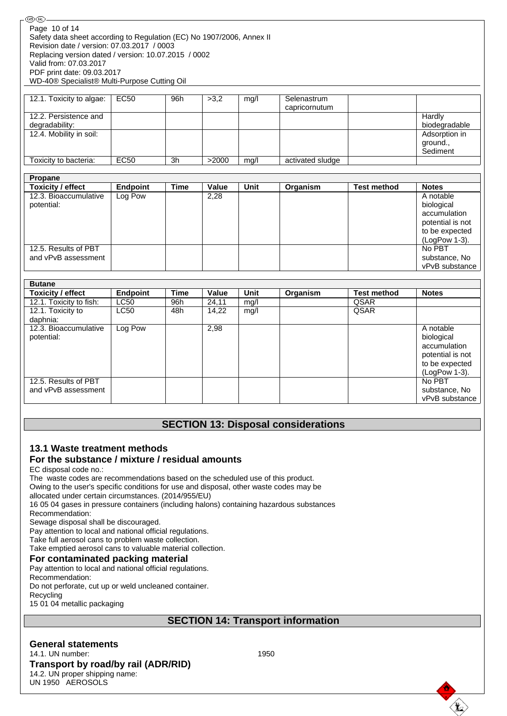| (®ொ)-                                                                 |
|-----------------------------------------------------------------------|
| Page 10 of 14                                                         |
| Safety data sheet according to Regulation (EC) No 1907/2006, Annex II |
| Revision date / version: 07.03.2017 / 0003                            |
| Replacing version dated / version: 10.07.2015 / 0002                  |
| Valid from: 07.03.2017                                                |
| PDF print date: 09.03.2017                                            |
| WD-40® Specialist® Multi-Purpose Cutting Oil                          |

| 12.1. Toxicity to algae:                | EC50 | 96h | >3.2  | mg/l | Selenastrum<br>capricornutum |                                       |
|-----------------------------------------|------|-----|-------|------|------------------------------|---------------------------------------|
| 12.2. Persistence and<br>degradability: |      |     |       |      |                              | Hardly<br>biodegradable               |
| 12.4. Mobility in soil:                 |      |     |       |      |                              | Adsorption in<br>ground.,<br>Sediment |
| Toxicity to bacteria:                   | EC50 | 3h  | >2000 | mq/  | activated sludge             |                                       |

| Propane                                     |          |      |       |      |          |                    |                                                                                                |
|---------------------------------------------|----------|------|-------|------|----------|--------------------|------------------------------------------------------------------------------------------------|
| Toxicity / effect                           | Endpoint | Time | Value | Unit | Organism | <b>Test method</b> | <b>Notes</b>                                                                                   |
| 12.3. Bioaccumulative<br>potential:         | Log Pow  |      | 2,28  |      |          |                    | A notable<br>biological<br>accumulation<br>potential is not<br>to be expected<br>(LogPow 1-3). |
| 12.5. Results of PBT<br>and vPvB assessment |          |      |       |      |          |                    | No PBT<br>substance, No<br>vPvB substance                                                      |

| <b>Butane</b>            |                 |             |       |      |          |                    |                  |
|--------------------------|-----------------|-------------|-------|------|----------|--------------------|------------------|
| <b>Toxicity / effect</b> | <b>Endpoint</b> | <b>Time</b> | Value | Unit | Organism | <b>Test method</b> | <b>Notes</b>     |
| 12.1. Toxicity to fish:  | <b>LC50</b>     | 96h         | 24,11 | mg/l |          | <b>QSAR</b>        |                  |
| 12.1. Toxicity to        | <b>LC50</b>     | 48h         | 14,22 | mg/l |          | <b>QSAR</b>        |                  |
| daphnia:                 |                 |             |       |      |          |                    |                  |
| 12.3. Bioaccumulative    | Log Pow         |             | 2,98  |      |          |                    | A notable        |
| potential:               |                 |             |       |      |          |                    | biological       |
|                          |                 |             |       |      |          |                    | accumulation     |
|                          |                 |             |       |      |          |                    | potential is not |
|                          |                 |             |       |      |          |                    | to be expected   |
|                          |                 |             |       |      |          |                    | (LogPow 1-3).    |
| 12.5. Results of PBT     |                 |             |       |      |          |                    | No PBT           |
| and vPvB assessment      |                 |             |       |      |          |                    | substance, No    |
|                          |                 |             |       |      |          |                    | vPvB substance   |

## **SECTION 13: Disposal considerations**

# **13.1 Waste treatment methods**

# **For the substance / mixture / residual amounts**

EC disposal code no.:

The waste codes are recommendations based on the scheduled use of this product.

Owing to the user's specific conditions for use and disposal, other waste codes may be

allocated under certain circumstances. (2014/955/EU)

16 05 04 gases in pressure containers (including halons) containing hazardous substances

Recommendation:

Sewage disposal shall be discouraged.

Pay attention to local and national official regulations.

Take full aerosol cans to problem waste collection.

Take emptied aerosol cans to valuable material collection.

#### **For contaminated packing material**

Pay attention to local and national official regulations.

Recommendation: Do not perforate, cut up or weld uncleaned container. Recycling

15 01 04 metallic packaging

## **SECTION 14: Transport information**

**General statements** 14.1. UN number: 1950 **Transport by road/by rail (ADR/RID)** 14.2. UN proper shipping name: UN 1950 AEROSOLS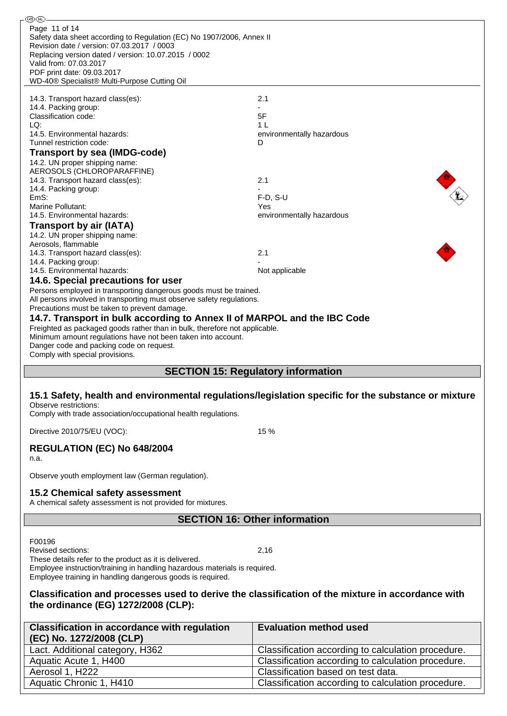| ®ඹ                                                                                                                                                                                                                                                                                                    |                                                                                                     |  |  |  |  |  |
|-------------------------------------------------------------------------------------------------------------------------------------------------------------------------------------------------------------------------------------------------------------------------------------------------------|-----------------------------------------------------------------------------------------------------|--|--|--|--|--|
| Page 11 of 14<br>Safety data sheet according to Regulation (EC) No 1907/2006, Annex II<br>Revision date / version: 07.03.2017 / 0003<br>Replacing version dated / version: 10.07.2015 / 0002<br>Valid from: 07.03.2017<br>PDF print date: 09.03.2017<br>WD-40® Specialist® Multi-Purpose Cutting Oil  |                                                                                                     |  |  |  |  |  |
| 14.3. Transport hazard class(es):                                                                                                                                                                                                                                                                     | 2.1                                                                                                 |  |  |  |  |  |
| 14.4. Packing group:                                                                                                                                                                                                                                                                                  |                                                                                                     |  |  |  |  |  |
| Classification code:                                                                                                                                                                                                                                                                                  | 5F                                                                                                  |  |  |  |  |  |
| LQ:                                                                                                                                                                                                                                                                                                   | 1 L                                                                                                 |  |  |  |  |  |
| 14.5. Environmental hazards:<br>Tunnel restriction code:                                                                                                                                                                                                                                              | environmentally hazardous<br>D                                                                      |  |  |  |  |  |
| Transport by sea (IMDG-code)                                                                                                                                                                                                                                                                          |                                                                                                     |  |  |  |  |  |
| 14.2. UN proper shipping name:                                                                                                                                                                                                                                                                        |                                                                                                     |  |  |  |  |  |
| AEROSOLS (CHLOROPARAFFINE)                                                                                                                                                                                                                                                                            |                                                                                                     |  |  |  |  |  |
| 14.3. Transport hazard class(es):<br>14.4. Packing group:                                                                                                                                                                                                                                             | 2.1                                                                                                 |  |  |  |  |  |
| EmS:                                                                                                                                                                                                                                                                                                  | F-D, S-U                                                                                            |  |  |  |  |  |
| Marine Pollutant:                                                                                                                                                                                                                                                                                     | Yes                                                                                                 |  |  |  |  |  |
| 14.5. Environmental hazards:                                                                                                                                                                                                                                                                          | environmentally hazardous                                                                           |  |  |  |  |  |
| <b>Transport by air (IATA)</b>                                                                                                                                                                                                                                                                        |                                                                                                     |  |  |  |  |  |
| 14.2. UN proper shipping name:<br>Aerosols, flammable                                                                                                                                                                                                                                                 |                                                                                                     |  |  |  |  |  |
| 14.3. Transport hazard class(es):                                                                                                                                                                                                                                                                     | 2.1                                                                                                 |  |  |  |  |  |
| 14.4. Packing group:<br>14.5. Environmental hazards:                                                                                                                                                                                                                                                  |                                                                                                     |  |  |  |  |  |
| 14.6. Special precautions for user                                                                                                                                                                                                                                                                    | Not applicable                                                                                      |  |  |  |  |  |
| Persons employed in transporting dangerous goods must be trained.<br>All persons involved in transporting must observe safety regulations.<br>Precautions must be taken to prevent damage.                                                                                                            |                                                                                                     |  |  |  |  |  |
| 14.7. Transport in bulk according to Annex II of MARPOL and the IBC Code<br>Freighted as packaged goods rather than in bulk, therefore not applicable.<br>Minimum amount regulations have not been taken into account.<br>Danger code and packing code on request.<br>Comply with special provisions. |                                                                                                     |  |  |  |  |  |
|                                                                                                                                                                                                                                                                                                       | <b>SECTION 15: Regulatory information</b>                                                           |  |  |  |  |  |
| Observe restrictions:<br>Comply with trade association/occupational health regulations.                                                                                                                                                                                                               | 15.1 Safety, health and environmental regulations/legislation specific for the substance or mixture |  |  |  |  |  |
| Directive 2010/75/EU (VOC):                                                                                                                                                                                                                                                                           | 15 %                                                                                                |  |  |  |  |  |
| REGULATION (EC) No 648/2004<br>n.a.                                                                                                                                                                                                                                                                   |                                                                                                     |  |  |  |  |  |
| Observe youth employment law (German regulation).                                                                                                                                                                                                                                                     |                                                                                                     |  |  |  |  |  |
| 15.2 Chemical safety assessment<br>A chemical safety assessment is not provided for mixtures.                                                                                                                                                                                                         |                                                                                                     |  |  |  |  |  |
| <b>SECTION 16: Other information</b>                                                                                                                                                                                                                                                                  |                                                                                                     |  |  |  |  |  |
|                                                                                                                                                                                                                                                                                                       |                                                                                                     |  |  |  |  |  |
| F00196<br>Revised sections:<br>2,16<br>These details refer to the product as it is delivered.<br>Employee instruction/training in handling hazardous materials is required.<br>Employee training in handling dangerous goods is required.                                                             |                                                                                                     |  |  |  |  |  |
| Classification and processes used to derive the classification of the mixture in accordance with<br>the ordinance (EG) 1272/2008 (CLP):                                                                                                                                                               |                                                                                                     |  |  |  |  |  |
| <b>Classification in accordance with regulation</b>                                                                                                                                                                                                                                                   | <b>Evaluation method used</b>                                                                       |  |  |  |  |  |
| (EC) No. 1272/2008 (CLP)                                                                                                                                                                                                                                                                              |                                                                                                     |  |  |  |  |  |
| Lact. Additional category, H362                                                                                                                                                                                                                                                                       | Classification according to calculation procedure.                                                  |  |  |  |  |  |
| Aquatic Acute 1, H400                                                                                                                                                                                                                                                                                 | Classification according to calculation procedure.                                                  |  |  |  |  |  |
| Aerosol 1, H222<br>Aquatic Chronic 1, H410                                                                                                                                                                                                                                                            | Classification based on test data.<br>Classification according to calculation procedure.            |  |  |  |  |  |
|                                                                                                                                                                                                                                                                                                       |                                                                                                     |  |  |  |  |  |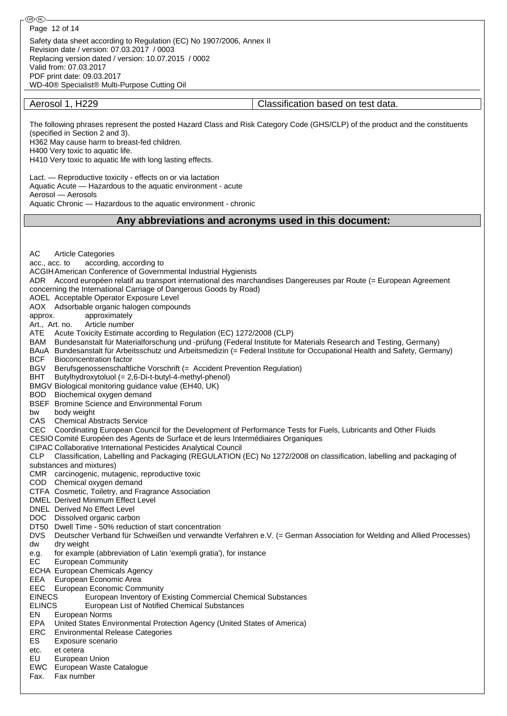WD-40® Specialist® Multi-Purpose Cutting Oil

Aerosol 1, H229 Classification based on test data.

The following phrases represent the posted Hazard Class and Risk Category Code (GHS/CLP) of the product and the constituents (specified in Section 2 and 3).

H362 May cause harm to breast-fed children.

H400 Very toxic to aquatic life.

H410 Very toxic to aquatic life with long lasting effects.

Lact. — Reproductive toxicity - effects on or via lactation

Aquatic Acute — Hazardous to the aquatic environment - acute

Aerosol — Aerosols

Aquatic Chronic — Hazardous to the aquatic environment - chronic

#### **Any abbreviations and acronyms used in this document:**

AC Article Categories acc., acc. to according, according to ACGIHAmerican Conference of Governmental Industrial Hygienists ADR Accord européen relatif au transport international des marchandises Dangereuses par Route (= European Agreement concerning the International Carriage of Dangerous Goods by Road) AOEL Acceptable Operator Exposure Level AOX Adsorbable organic halogen compounds approx. approximately Art., Art. no. Article number ATE Acute Toxicity Estimate according to Regulation (EC) 1272/2008 (CLP) BAM Bundesanstalt für Materialforschung und -prüfung (Federal Institute for Materials Research and Testing, Germany) BAuA Bundesanstalt für Arbeitsschutz und Arbeitsmedizin (= Federal Institute for Occupational Health and Safety, Germany) BCF Bioconcentration factor BGV Berufsgenossenschaftliche Vorschrift (= Accident Prevention Regulation) BHT Butylhydroxytoluol (= 2,6-Di-t-butyl-4-methyl-phenol) BMGV Biological monitoring guidance value (EH40, UK) BOD Biochemical oxygen demand BSEF Bromine Science and Environmental Forum bw body weight CAS Chemical Abstracts Service CEC Coordinating European Council for the Development of Performance Tests for Fuels, Lubricants and Other Fluids CESIO Comité Européen des Agents de Surface et de leurs Intermédiaires Organiques CIPAC Collaborative International Pesticides Analytical Council CLP Classification, Labelling and Packaging (REGULATION (EC) No 1272/2008 on classification, labelling and packaging of substances and mixtures) CMR carcinogenic, mutagenic, reproductive toxic COD Chemical oxygen demand CTFA Cosmetic, Toiletry, and Fragrance Association DMEL Derived Minimum Effect Level DNEL Derived No Effect Level DOC Dissolved organic carbon DT50 Dwell Time - 50% reduction of start concentration DVS Deutscher Verband für Schweißen und verwandte Verfahren e.V. (= German Association for Welding and Allied Processes) dw dry weight e.g. for example (abbreviation of Latin 'exempli gratia'), for instance EC European Community ECHA European Chemicals Agency EEA European Economic Area EEC European Economic Community EINECS European Inventory of Existing Commercial Chemical Substances ELINCS European List of Notified Chemical Substances EN European Norms EPA United States Environmental Protection Agency (United States of America) ERC Environmental Release Categories ES Exposure scenario etc. et cetera EU European Union EWC European Waste Catalogue Fax. Fax number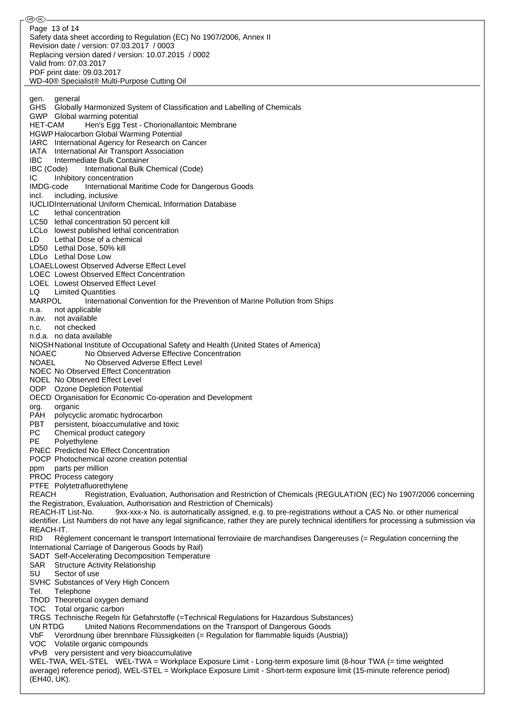⊛® Page 13 of 14Safety data sheet according to Regulation (EC) No 1907/2006, Annex II Revision date / version: 07.03.2017 / 0003 Replacing version dated / version: 10.07.2015 / 0002 Valid from: 07.03.2017 PDF print date: 09.03.2017 WD-40® Specialist® Multi-Purpose Cutting Oil gen. general GHS Globally Harmonized System of Classification and Labelling of Chemicals GWP Global warming potential HET-CAM Hen's Egg Test - Chorionallantoic Membrane HGWP Halocarbon Global Warming Potential IARC International Agency for Research on Cancer IATA International Air Transport Association IBC Intermediate Bulk Container IBC (Code) International Bulk Chemical (Code) IC Inhibitory concentration IMDG-code International Maritime Code for Dangerous Goods incl. including, inclusive IUCLIDInternational Uniform ChemicaL Information Database LC lethal concentration LC50 lethal concentration 50 percent kill LCLo lowest published lethal concentration LD Lethal Dose of a chemical LD50 Lethal Dose, 50% kill LDLo Lethal Dose Low LOAELLowest Observed Adverse Effect Level LOEC Lowest Observed Effect Concentration LOEL Lowest Observed Effect Level LQ Limited Quantities MARPOL International Convention for the Prevention of Marine Pollution from Ships n.a. not applicable n.av. not available n.c. not checked n.d.a. no data available NIOSHNational Institute of Occupational Safety and Health (United States of America) NOAEC No Observed Adverse Effective Concentration NOAEL No Observed Adverse Effect Level NOEC No Observed Effect Concentration NOEL No Observed Effect Level ODP Ozone Depletion Potential OECD Organisation for Economic Co-operation and Development org. organic PAH polycyclic aromatic hydrocarbon PBT persistent, bioaccumulative and toxic PC Chemical product category PE Polyethylene PNEC Predicted No Effect Concentration POCP Photochemical ozone creation potential ppm parts per million PROC Process category PTFE Polytetrafluorethylene REACH Registration, Evaluation, Authorisation and Restriction of Chemicals (REGULATION (EC) No 1907/2006 concerning the Registration, Evaluation, Authorisation and Restriction of Chemicals) REACH-IT List-No. 9xx-xxx-x No. is automatically assigned, e.g. to pre-registrations without a CAS No. or other numerical identifier. List Numbers do not have any legal significance, rather they are purely technical identifiers for processing a submission via REACH-IT. RID Règlement concernant le transport International ferroviaire de marchandises Dangereuses (= Regulation concerning the International Carriage of Dangerous Goods by Rail) SADT Self-Accelerating Decomposition Temperature SAR Structure Activity Relationship SU Sector of use SVHC Substances of Very High Concern Tel. Telephone ThOD Theoretical oxygen demand TOC Total organic carbon TRGS Technische Regeln für Gefahrstoffe (=Technical Regulations for Hazardous Substances) UN RTDG United Nations Recommendations on the Transport of Dangerous Goods VbF Verordnung über brennbare Flüssigkeiten (= Regulation for flammable liquids (Austria)) VOC Volatile organic compounds vPvB very persistent and very bioaccumulative WEL-TWA, WEL-STEL WEL-TWA = Workplace Exposure Limit - Long-term exposure limit (8-hour TWA (= time weighted average) reference period), WEL-STEL = Workplace Exposure Limit - Short-term exposure limit (15-minute reference period) (EH40, UK).